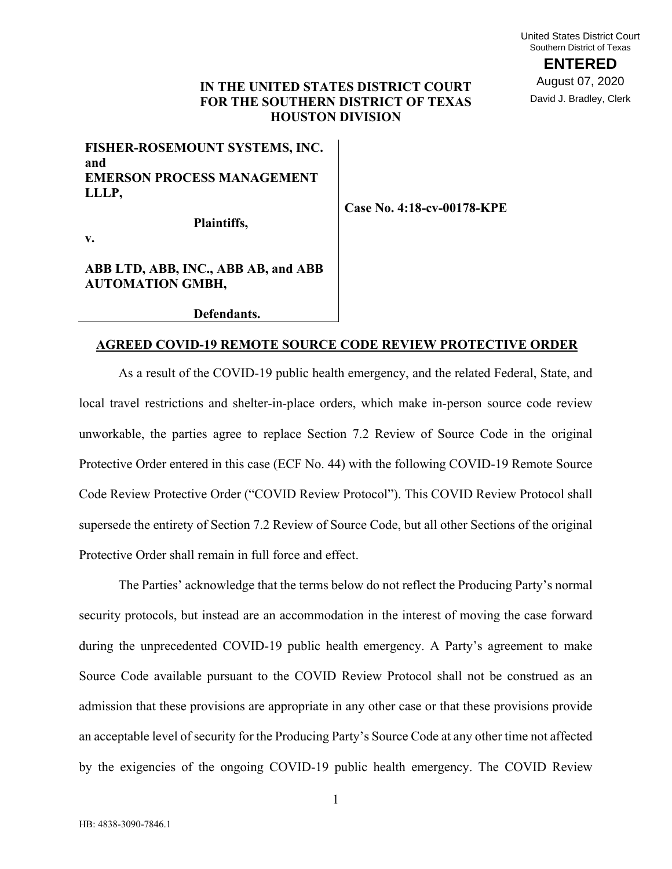## **IN THE UNITED STATES DISTRICT COURT FOR THE SOUTHERN DISTRICT OF TEXAS HOUSTON DIVISION**

# **FISHER-ROSEMOUNT SYSTEMS, INC. and EMERSON PROCESS MANAGEMENT LLLP,**

**Case No. 4:18-cv-00178-KPE** 

**Plaintiffs,** 

**v.** 

## **ABB LTD, ABB, INC., ABB AB, and ABB AUTOMATION GMBH,**

**Defendants.** 

## **AGREED COVID-19 REMOTE SOURCE CODE REVIEW PROTECTIVE ORDER**

As a result of the COVID-19 public health emergency, and the related Federal, State, and local travel restrictions and shelter-in-place orders, which make in-person source code review unworkable, the parties agree to replace Section 7.2 Review of Source Code in the original Protective Order entered in this case (ECF No. 44) with the following COVID-19 Remote Source Code Review Protective Order ("COVID Review Protocol"). This COVID Review Protocol shall supersede the entirety of Section 7.2 Review of Source Code, but all other Sections of the original Protective Order shall remain in full force and effect.

The Parties' acknowledge that the terms below do not reflect the Producing Party's normal security protocols, but instead are an accommodation in the interest of moving the case forward during the unprecedented COVID-19 public health emergency. A Party's agreement to make Source Code available pursuant to the COVID Review Protocol shall not be construed as an admission that these provisions are appropriate in any other case or that these provisions provide an acceptable level of security for the Producing Party's Source Code at any other time not affected by the exigencies of the ongoing COVID-19 public health emergency. The COVID Review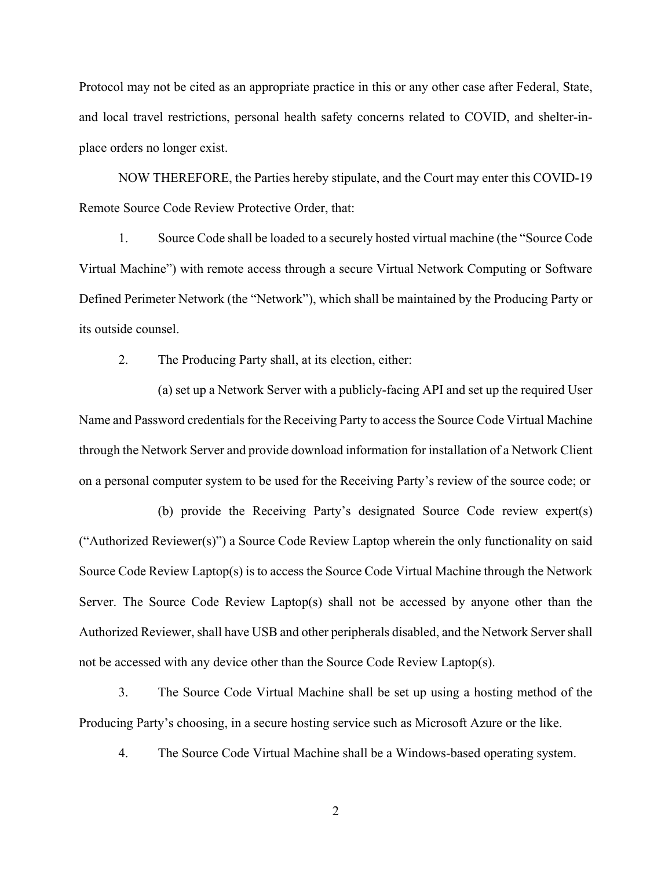Protocol may not be cited as an appropriate practice in this or any other case after Federal, State, and local travel restrictions, personal health safety concerns related to COVID, and shelter-inplace orders no longer exist.

NOW THEREFORE, the Parties hereby stipulate, and the Court may enter this COVID-19 Remote Source Code Review Protective Order, that:

1. Source Code shall be loaded to a securely hosted virtual machine (the "Source Code Virtual Machine") with remote access through a secure Virtual Network Computing or Software Defined Perimeter Network (the "Network"), which shall be maintained by the Producing Party or its outside counsel.

2. The Producing Party shall, at its election, either:

(a) set up a Network Server with a publicly-facing API and set up the required User Name and Password credentials for the Receiving Party to access the Source Code Virtual Machine through the Network Server and provide download information for installation of a Network Client on a personal computer system to be used for the Receiving Party's review of the source code; or

(b) provide the Receiving Party's designated Source Code review expert(s) ("Authorized Reviewer(s)") a Source Code Review Laptop wherein the only functionality on said Source Code Review Laptop(s) is to access the Source Code Virtual Machine through the Network Server. The Source Code Review Laptop(s) shall not be accessed by anyone other than the Authorized Reviewer, shall have USB and other peripherals disabled, and the Network Server shall not be accessed with any device other than the Source Code Review Laptop(s).

3. The Source Code Virtual Machine shall be set up using a hosting method of the Producing Party's choosing, in a secure hosting service such as Microsoft Azure or the like.

4. The Source Code Virtual Machine shall be a Windows-based operating system.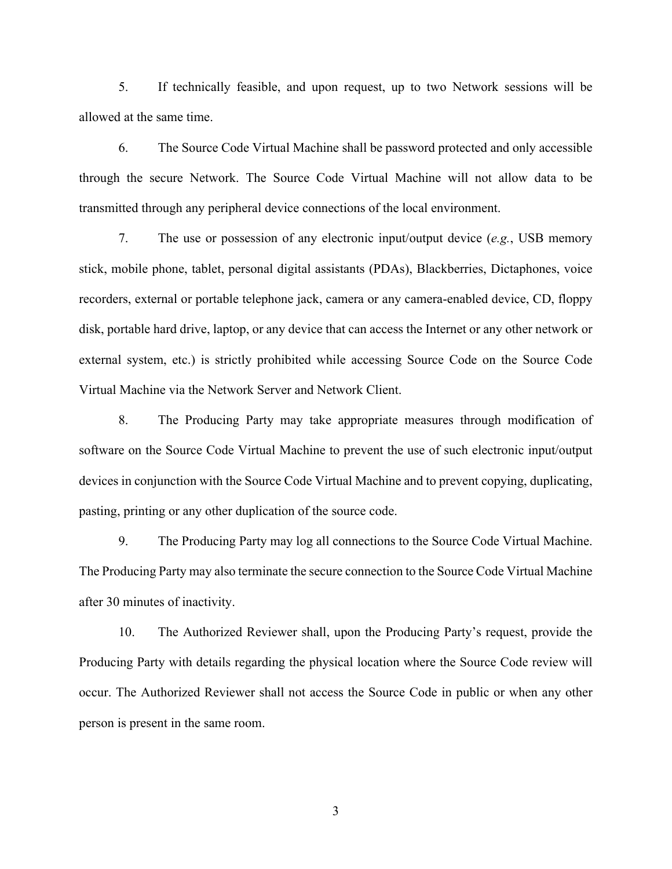5. If technically feasible, and upon request, up to two Network sessions will be allowed at the same time.

6. The Source Code Virtual Machine shall be password protected and only accessible through the secure Network. The Source Code Virtual Machine will not allow data to be transmitted through any peripheral device connections of the local environment.

7. The use or possession of any electronic input/output device (*e.g.*, USB memory stick, mobile phone, tablet, personal digital assistants (PDAs), Blackberries, Dictaphones, voice recorders, external or portable telephone jack, camera or any camera-enabled device, CD, floppy disk, portable hard drive, laptop, or any device that can access the Internet or any other network or external system, etc.) is strictly prohibited while accessing Source Code on the Source Code Virtual Machine via the Network Server and Network Client.

8. The Producing Party may take appropriate measures through modification of software on the Source Code Virtual Machine to prevent the use of such electronic input/output devices in conjunction with the Source Code Virtual Machine and to prevent copying, duplicating, pasting, printing or any other duplication of the source code.

9. The Producing Party may log all connections to the Source Code Virtual Machine. The Producing Party may also terminate the secure connection to the Source Code Virtual Machine after 30 minutes of inactivity.

10. The Authorized Reviewer shall, upon the Producing Party's request, provide the Producing Party with details regarding the physical location where the Source Code review will occur. The Authorized Reviewer shall not access the Source Code in public or when any other person is present in the same room.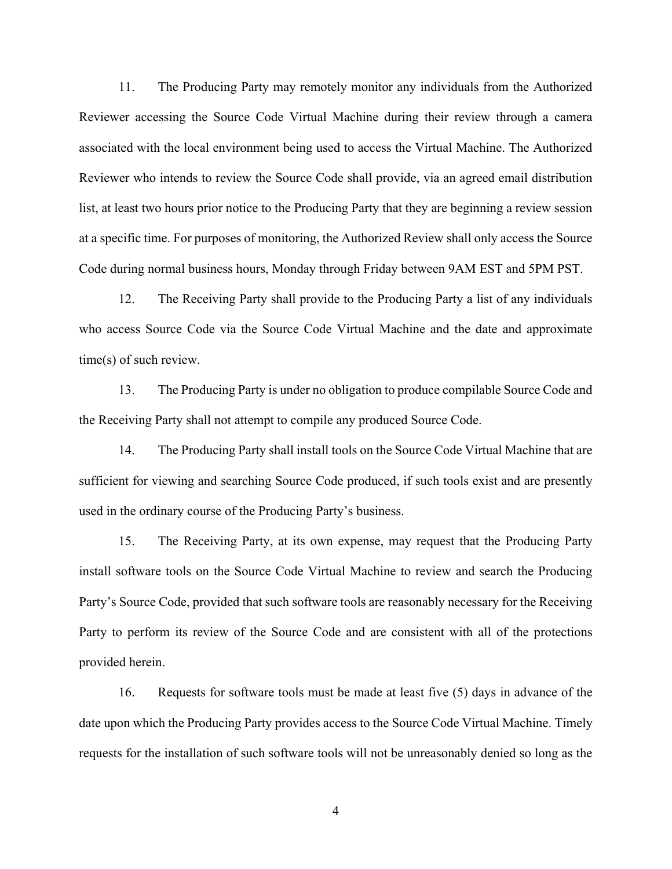11. The Producing Party may remotely monitor any individuals from the Authorized Reviewer accessing the Source Code Virtual Machine during their review through a camera associated with the local environment being used to access the Virtual Machine. The Authorized Reviewer who intends to review the Source Code shall provide, via an agreed email distribution list, at least two hours prior notice to the Producing Party that they are beginning a review session at a specific time. For purposes of monitoring, the Authorized Review shall only access the Source Code during normal business hours, Monday through Friday between 9AM EST and 5PM PST.

12. The Receiving Party shall provide to the Producing Party a list of any individuals who access Source Code via the Source Code Virtual Machine and the date and approximate time(s) of such review.

13. The Producing Party is under no obligation to produce compilable Source Code and the Receiving Party shall not attempt to compile any produced Source Code.

14. The Producing Party shall install tools on the Source Code Virtual Machine that are sufficient for viewing and searching Source Code produced, if such tools exist and are presently used in the ordinary course of the Producing Party's business.

15. The Receiving Party, at its own expense, may request that the Producing Party install software tools on the Source Code Virtual Machine to review and search the Producing Party's Source Code, provided that such software tools are reasonably necessary for the Receiving Party to perform its review of the Source Code and are consistent with all of the protections provided herein.

16. Requests for software tools must be made at least five (5) days in advance of the date upon which the Producing Party provides access to the Source Code Virtual Machine. Timely requests for the installation of such software tools will not be unreasonably denied so long as the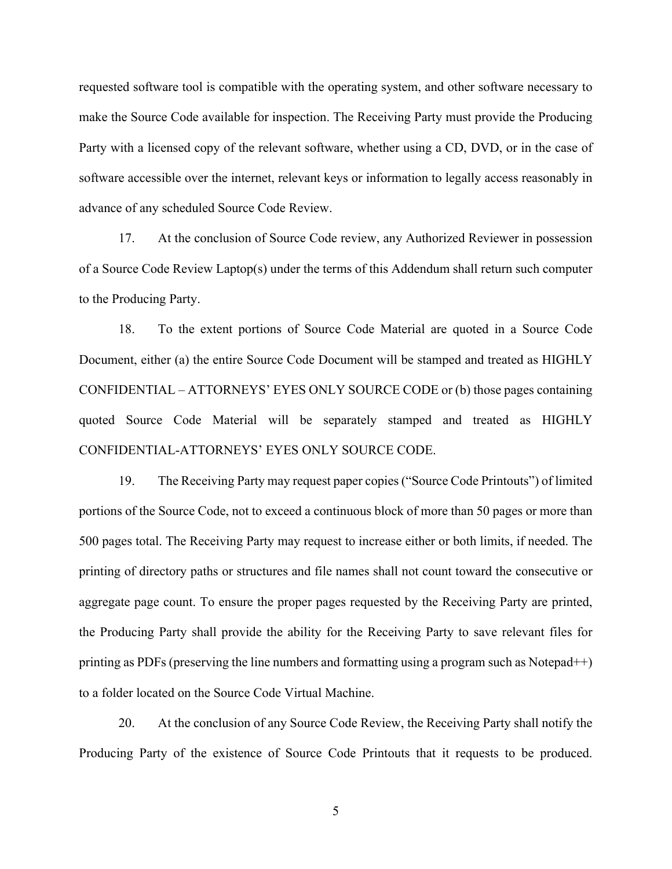requested software tool is compatible with the operating system, and other software necessary to make the Source Code available for inspection. The Receiving Party must provide the Producing Party with a licensed copy of the relevant software, whether using a CD, DVD, or in the case of software accessible over the internet, relevant keys or information to legally access reasonably in advance of any scheduled Source Code Review.

17. At the conclusion of Source Code review, any Authorized Reviewer in possession of a Source Code Review Laptop(s) under the terms of this Addendum shall return such computer to the Producing Party.

18. To the extent portions of Source Code Material are quoted in a Source Code Document, either (a) the entire Source Code Document will be stamped and treated as HIGHLY CONFIDENTIAL – ATTORNEYS' EYES ONLY SOURCE CODE or (b) those pages containing quoted Source Code Material will be separately stamped and treated as HIGHLY CONFIDENTIAL-ATTORNEYS' EYES ONLY SOURCE CODE.

19. The Receiving Party may request paper copies ("Source Code Printouts") of limited portions of the Source Code, not to exceed a continuous block of more than 50 pages or more than 500 pages total. The Receiving Party may request to increase either or both limits, if needed. The printing of directory paths or structures and file names shall not count toward the consecutive or aggregate page count. To ensure the proper pages requested by the Receiving Party are printed, the Producing Party shall provide the ability for the Receiving Party to save relevant files for printing as PDFs (preserving the line numbers and formatting using a program such as Notepad++) to a folder located on the Source Code Virtual Machine.

20. At the conclusion of any Source Code Review, the Receiving Party shall notify the Producing Party of the existence of Source Code Printouts that it requests to be produced.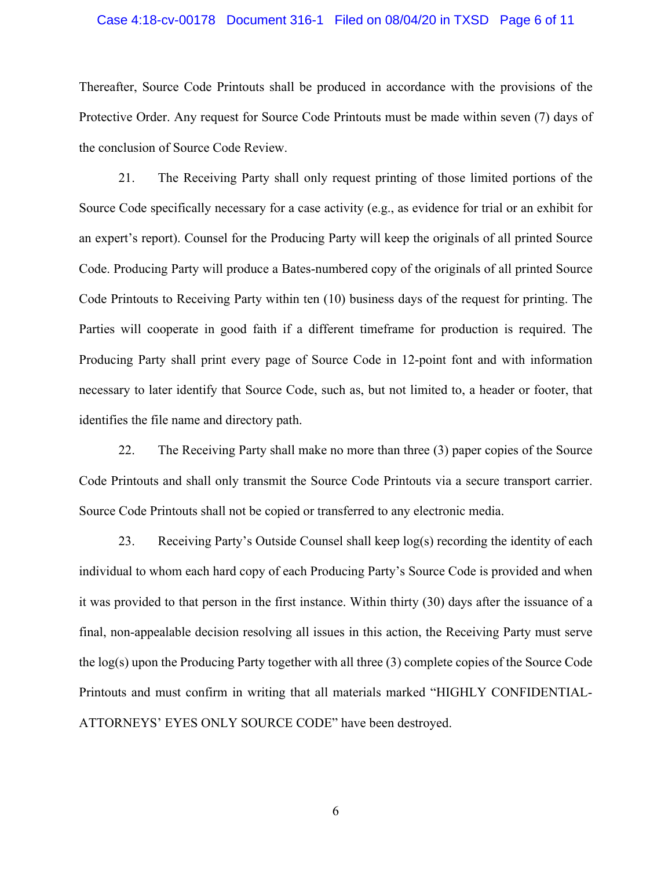#### Case 4:18-cv-00178 Document 316-1 Filed on 08/04/20 in TXSD Page 6 of 11

Thereafter, Source Code Printouts shall be produced in accordance with the provisions of the Protective Order. Any request for Source Code Printouts must be made within seven (7) days of the conclusion of Source Code Review.

21. The Receiving Party shall only request printing of those limited portions of the Source Code specifically necessary for a case activity (e.g., as evidence for trial or an exhibit for an expert's report). Counsel for the Producing Party will keep the originals of all printed Source Code. Producing Party will produce a Bates-numbered copy of the originals of all printed Source Code Printouts to Receiving Party within ten (10) business days of the request for printing. The Parties will cooperate in good faith if a different timeframe for production is required. The Producing Party shall print every page of Source Code in 12-point font and with information necessary to later identify that Source Code, such as, but not limited to, a header or footer, that identifies the file name and directory path.

22. The Receiving Party shall make no more than three (3) paper copies of the Source Code Printouts and shall only transmit the Source Code Printouts via a secure transport carrier. Source Code Printouts shall not be copied or transferred to any electronic media.

23. Receiving Party's Outside Counsel shall keep log(s) recording the identity of each individual to whom each hard copy of each Producing Party's Source Code is provided and when it was provided to that person in the first instance. Within thirty (30) days after the issuance of a final, non-appealable decision resolving all issues in this action, the Receiving Party must serve the log(s) upon the Producing Party together with all three (3) complete copies of the Source Code Printouts and must confirm in writing that all materials marked "HIGHLY CONFIDENTIAL-ATTORNEYS' EYES ONLY SOURCE CODE" have been destroyed.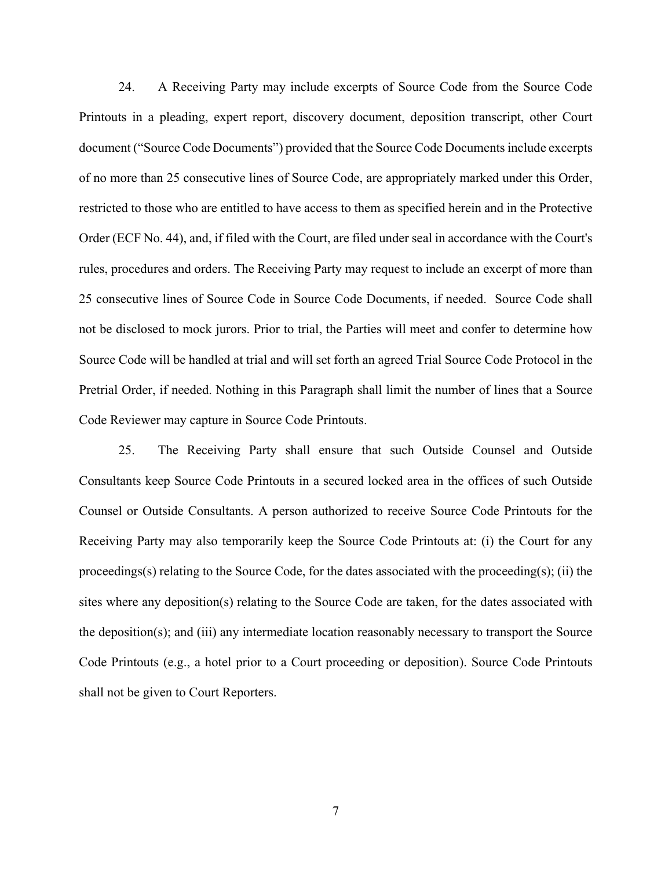24. A Receiving Party may include excerpts of Source Code from the Source Code Printouts in a pleading, expert report, discovery document, deposition transcript, other Court document ("Source Code Documents") provided that the Source Code Documents include excerpts of no more than 25 consecutive lines of Source Code, are appropriately marked under this Order, restricted to those who are entitled to have access to them as specified herein and in the Protective Order (ECF No. 44), and, if filed with the Court, are filed under seal in accordance with the Court's rules, procedures and orders. The Receiving Party may request to include an excerpt of more than 25 consecutive lines of Source Code in Source Code Documents, if needed. Source Code shall not be disclosed to mock jurors. Prior to trial, the Parties will meet and confer to determine how Source Code will be handled at trial and will set forth an agreed Trial Source Code Protocol in the Pretrial Order, if needed. Nothing in this Paragraph shall limit the number of lines that a Source Code Reviewer may capture in Source Code Printouts.

25. The Receiving Party shall ensure that such Outside Counsel and Outside Consultants keep Source Code Printouts in a secured locked area in the offices of such Outside Counsel or Outside Consultants. A person authorized to receive Source Code Printouts for the Receiving Party may also temporarily keep the Source Code Printouts at: (i) the Court for any proceedings(s) relating to the Source Code, for the dates associated with the proceeding(s); (ii) the sites where any deposition(s) relating to the Source Code are taken, for the dates associated with the deposition(s); and (iii) any intermediate location reasonably necessary to transport the Source Code Printouts (e.g., a hotel prior to a Court proceeding or deposition). Source Code Printouts shall not be given to Court Reporters.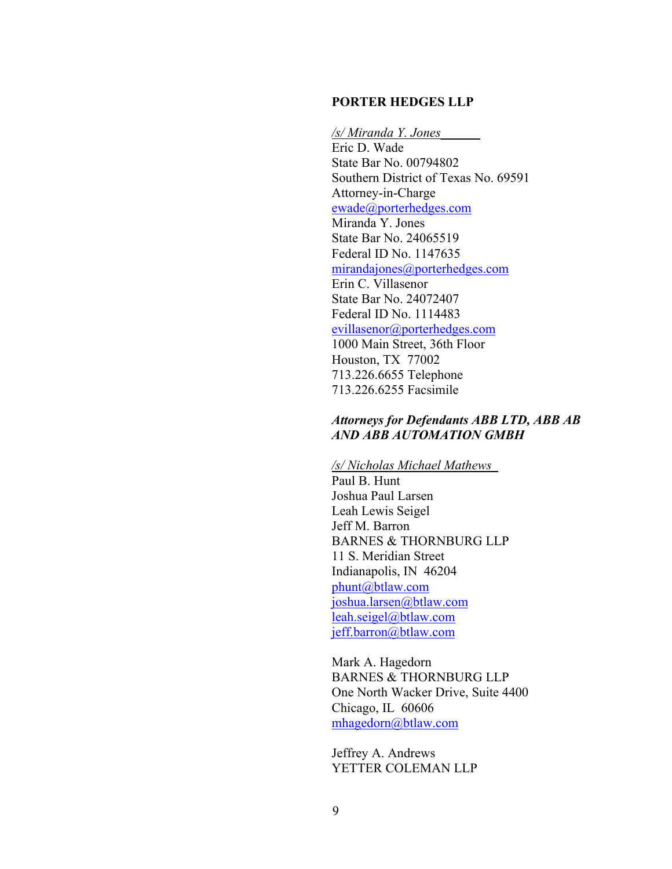### **PORTER HEDGES LLP**

*/s/ Miranda Y. Jones\_\_\_\_\_\_*  Eric D. Wade State Bar No. 00794802 Southern District of Texas No. 69591 Attorney-in-Charge ewade@porterhedges.com Miranda Y. Jones State Bar No. 24065519 Federal ID No. 1147635 mirandajones@porterhedges.com Erin C. Villasenor State Bar No. 24072407 Federal ID No. 1114483 evillasenor@porterhedges.com 1000 Main Street, 36th Floor Houston, TX 77002 713.226.6655 Telephone 713.226.6255 Facsimile

## *Attorneys for Defendants ABB LTD, ABB AB AND ABB AUTOMATION GMBH*

### */s/ Nicholas Michael Mathews\_*

Paul B. Hunt Joshua Paul Larsen Leah Lewis Seigel Jeff M. Barron BARNES & THORNBURG LLP 11 S. Meridian Street Indianapolis, IN 46204 phunt@btlaw.com joshua.larsen@btlaw.com leah.seigel@btlaw.com jeff.barron@btlaw.com

Mark A. Hagedorn BARNES & THORNBURG LLP One North Wacker Drive, Suite 4400 Chicago, IL 60606 mhagedorn@btlaw.com

Jeffrey A. Andrews YETTER COLEMAN LLP